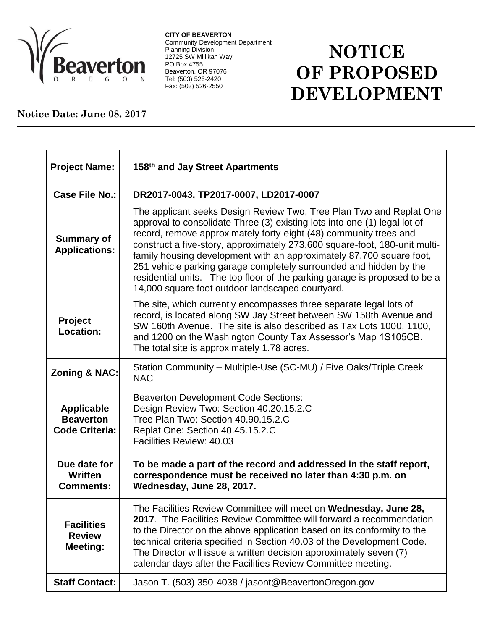

**CITY OF BEAVERTON** Community Development Department Planning Division 12725 SW Millikan Way PO Box 4755 Beaverton, OR 97076 Tel: (503) 526-2420 Fax: (503) 526-2550

## **NOTICE OF PROPOSED DEVELOPMENT**

## **Notice Date: June 08, 2017**

| <b>Project Name:</b>                                           | 158th and Jay Street Apartments                                                                                                                                                                                                                                                                                                                                                                                                                                                                                                                                                     |
|----------------------------------------------------------------|-------------------------------------------------------------------------------------------------------------------------------------------------------------------------------------------------------------------------------------------------------------------------------------------------------------------------------------------------------------------------------------------------------------------------------------------------------------------------------------------------------------------------------------------------------------------------------------|
| <b>Case File No.:</b>                                          | DR2017-0043, TP2017-0007, LD2017-0007                                                                                                                                                                                                                                                                                                                                                                                                                                                                                                                                               |
| <b>Summary of</b><br><b>Applications:</b>                      | The applicant seeks Design Review Two, Tree Plan Two and Replat One<br>approval to consolidate Three (3) existing lots into one (1) legal lot of<br>record, remove approximately forty-eight (48) community trees and<br>construct a five-story, approximately 273,600 square-foot, 180-unit multi-<br>family housing development with an approximately 87,700 square foot,<br>251 vehicle parking garage completely surrounded and hidden by the<br>residential units. The top floor of the parking garage is proposed to be a<br>14,000 square foot outdoor landscaped courtyard. |
| Project<br>Location:                                           | The site, which currently encompasses three separate legal lots of<br>record, is located along SW Jay Street between SW 158th Avenue and<br>SW 160th Avenue. The site is also described as Tax Lots 1000, 1100,<br>and 1200 on the Washington County Tax Assessor's Map 1S105CB.<br>The total site is approximately 1.78 acres.                                                                                                                                                                                                                                                     |
| <b>Zoning &amp; NAC:</b>                                       | Station Community – Multiple-Use (SC-MU) / Five Oaks/Triple Creek<br><b>NAC</b>                                                                                                                                                                                                                                                                                                                                                                                                                                                                                                     |
| <b>Applicable</b><br><b>Beaverton</b><br><b>Code Criteria:</b> | <b>Beaverton Development Code Sections:</b><br>Design Review Two: Section 40.20.15.2.C<br>Tree Plan Two: Section 40.90.15.2.C<br>Replat One: Section 40.45.15.2.C<br>Facilities Review: 40.03                                                                                                                                                                                                                                                                                                                                                                                       |
| Due date for<br>Written<br><b>Comments:</b>                    | To be made a part of the record and addressed in the staff report,<br>correspondence must be received no later than 4:30 p.m. on<br>Wednesday, June 28, 2017.                                                                                                                                                                                                                                                                                                                                                                                                                       |
| <b>Facilities</b><br><b>Review</b><br><b>Meeting:</b>          | The Facilities Review Committee will meet on Wednesday, June 28,<br>2017. The Facilities Review Committee will forward a recommendation<br>to the Director on the above application based on its conformity to the<br>technical criteria specified in Section 40.03 of the Development Code.<br>The Director will issue a written decision approximately seven (7)<br>calendar days after the Facilities Review Committee meeting.                                                                                                                                                  |
| <b>Staff Contact:</b>                                          | Jason T. (503) 350-4038 / jasont@BeavertonOregon.gov                                                                                                                                                                                                                                                                                                                                                                                                                                                                                                                                |